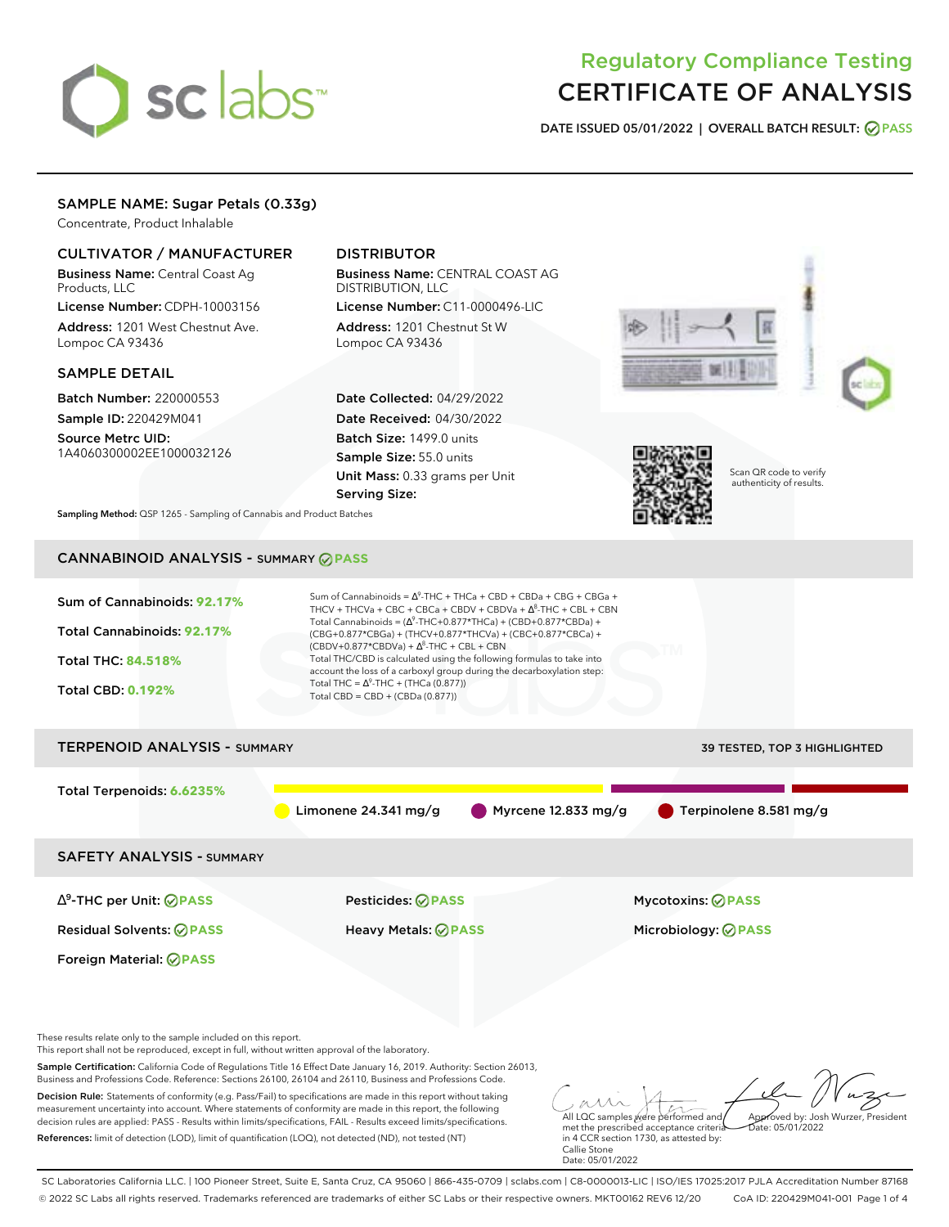# sclabs<sup>\*</sup>

## Regulatory Compliance Testing CERTIFICATE OF ANALYSIS

**DATE ISSUED 05/01/2022 | OVERALL BATCH RESULT: PASS**

### SAMPLE NAME: Sugar Petals (0.33g)

Concentrate, Product Inhalable

#### CULTIVATOR / MANUFACTURER

Business Name: Central Coast Ag Products, LLC

License Number: CDPH-10003156 Address: 1201 West Chestnut Ave. Lompoc CA 93436

#### SAMPLE DETAIL

Batch Number: 220000553 Sample ID: 220429M041

Source Metrc UID: 1A4060300002EE1000032126

### DISTRIBUTOR

Business Name: CENTRAL COAST AG DISTRIBUTION, LLC License Number: C11-0000496-LIC

Address: 1201 Chestnut St W Lompoc CA 93436

Date Collected: 04/29/2022 Date Received: 04/30/2022 Batch Size: 1499.0 units Sample Size: 55.0 units Unit Mass: 0.33 grams per Unit Serving Size:





Scan QR code to verify authenticity of results.

**Sampling Method:** QSP 1265 - Sampling of Cannabis and Product Batches

## CANNABINOID ANALYSIS - SUMMARY **PASS**

| Sum of Cannabinoids: 92.17%<br>Total Cannabinoids: 92.17%<br><b>Total THC: 84.518%</b><br><b>Total CBD: 0.192%</b> | Sum of Cannabinoids = $\Delta^9$ -THC + THCa + CBD + CBDa + CBG + CBGa +<br>THCV + THCVa + CBC + CBCa + CBDV + CBDVa + $\Delta^8$ -THC + CBL + CBN<br>Total Cannabinoids = $(\Delta^9$ -THC+0.877*THCa) + (CBD+0.877*CBDa) +<br>(CBG+0.877*CBGa) + (THCV+0.877*THCVa) + (CBC+0.877*CBCa) +<br>$(CBDV+0.877*CBDVa) + \Delta^8$ -THC + CBL + CBN<br>Total THC/CBD is calculated using the following formulas to take into<br>account the loss of a carboxyl group during the decarboxylation step:<br>Total THC = $\Delta^9$ -THC + (THCa (0.877))<br>Total $CBD = CBD + (CBDa (0.877))$ |                              |
|--------------------------------------------------------------------------------------------------------------------|----------------------------------------------------------------------------------------------------------------------------------------------------------------------------------------------------------------------------------------------------------------------------------------------------------------------------------------------------------------------------------------------------------------------------------------------------------------------------------------------------------------------------------------------------------------------------------------|------------------------------|
| <b>TERPENOID ANALYSIS - SUMMARY</b>                                                                                |                                                                                                                                                                                                                                                                                                                                                                                                                                                                                                                                                                                        | 39 TESTED, TOP 3 HIGHLIGHTED |
| Total Terpenoids: 6.6235%                                                                                          | Myrcene 12.833 mg/g<br>Limonene $24.341$ mg/g                                                                                                                                                                                                                                                                                                                                                                                                                                                                                                                                          | Terpinolene 8.581 mg/g       |
| <b>SAFETY ANALYSIS - SUMMARY</b>                                                                                   |                                                                                                                                                                                                                                                                                                                                                                                                                                                                                                                                                                                        |                              |
| $\Delta^9$ -THC per Unit: $\bigcirc$ PASS                                                                          | <b>Pesticides: ⊘ PASS</b>                                                                                                                                                                                                                                                                                                                                                                                                                                                                                                                                                              | <b>Mycotoxins: ⊘PASS</b>     |
| <b>Residual Solvents: ⊘PASS</b>                                                                                    | <b>Heavy Metals: ⊘ PASS</b>                                                                                                                                                                                                                                                                                                                                                                                                                                                                                                                                                            | Microbiology: <b>⊘PASS</b>   |
| Foreign Material: <b>⊘ PASS</b>                                                                                    |                                                                                                                                                                                                                                                                                                                                                                                                                                                                                                                                                                                        |                              |

These results relate only to the sample included on this report.

This report shall not be reproduced, except in full, without written approval of the laboratory.

Sample Certification: California Code of Regulations Title 16 Effect Date January 16, 2019. Authority: Section 26013, Business and Professions Code. Reference: Sections 26100, 26104 and 26110, Business and Professions Code.

Decision Rule: Statements of conformity (e.g. Pass/Fail) to specifications are made in this report without taking measurement uncertainty into account. Where statements of conformity are made in this report, the following decision rules are applied: PASS - Results within limits/specifications, FAIL - Results exceed limits/specifications. References: limit of detection (LOD), limit of quantification (LOQ), not detected (ND), not tested (NT)

All LQC samples were performed and met the prescribed acceptance criteria Approved by: Josh Wurzer, President Date: 05/01/2022

in 4 CCR section 1730, as attested by: Callie Stone Date: 05/01/2022

SC Laboratories California LLC. | 100 Pioneer Street, Suite E, Santa Cruz, CA 95060 | 866-435-0709 | sclabs.com | C8-0000013-LIC | ISO/IES 17025:2017 PJLA Accreditation Number 87168 © 2022 SC Labs all rights reserved. Trademarks referenced are trademarks of either SC Labs or their respective owners. MKT00162 REV6 12/20 CoA ID: 220429M041-001 Page 1 of 4